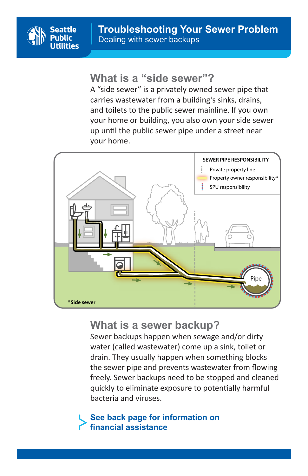

## **What is a "side sewer"?**

and toilets to the public sewer mainline. If you own your home or building, you also own your side sewer A "side sewer" is a privately owned sewer pipe that carries wastewater from a building's sinks, drains, up until the public sewer pipe under a street near your home.



# **What is a sewer backup?**

Sewer backups happen when sewage and/or dirty water (called wastewater) come up a sink, toilet or drain. They usually happen when something blocks the sewer pipe and prevents wastewater from flowing freely. Sewer backups need to be stopped and cleaned quickly to eliminate exposure to potentially harmful bacteria and viruses. **SEWER PIPE RESPONSIBILITY**

Pipe

#### **See back page for information on financial assistance**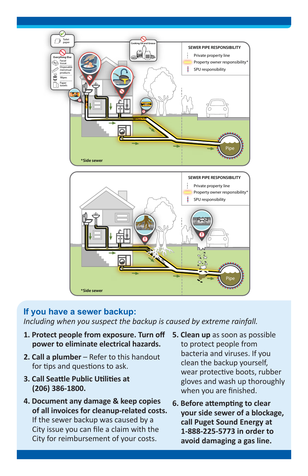

#### **If you have a sewer backup:**

*Including when you suspect the backup is caused by extreme rainfall.*

- **1. Protect people from exposure. Turn off power to eliminate electrical hazards.**
- **2. Call a plumber** Refer to this handout for tips and questions to ask.
- **3. Call Seattle Public Utilities at (206) 386-1800.**
- **4. Document any damage & keep copies of all invoices for cleanup-related costs.** If the sewer backup was caused by a City issue you can file a claim with the City for reimbursement of your costs.
- **5. Clean up** as soon as possible to protect people from bacteria and viruses. If you clean the backup yourself, wear protective boots, rubber gloves and wash up thoroughly when you are finished.
- **6. Before attempting to clear your side sewer of a blockage, call Puget Sound Energy at 1-888-225-5773 in order to avoid damaging a gas line.**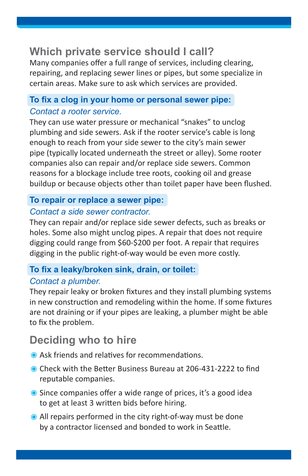# **Which private service should I call?**

Many companies offer a full range of services, including clearing, repairing, and replacing sewer lines or pipes, but some specialize in certain areas. Make sure to ask which services are provided.

### **To fix a clog in your home or personal sewer pipe:**  *Contact a rooter service.*

They can use water pressure or mechanical "snakes" to unclog plumbing and side sewers. Ask if the rooter service's cable is long enough to reach from your side sewer to the city's main sewer pipe (typically located underneath the street or alley). Some rooter companies also can repair and/or replace side sewers. Common reasons for a blockage include tree roots, cooking oil and grease buildup or because objects other than toilet paper have been flushed.

#### **To repair or replace a sewer pipe:**

#### *Contact a side sewer contractor.*

They can repair and/or replace side sewer defects, such as breaks or holes. Some also might unclog pipes. A repair that does not require digging could range from \$60-\$200 per foot. A repair that requires digging in the public right-of-way would be even more costly.

### **To fix a leaky/broken sink, drain, or toilet:**

### *Contact a plumber.*

They repair leaky or broken fixtures and they install plumbing systems in new construction and remodeling within the home. If some fixtures are not draining or if your pipes are leaking, a plumber might be able to fix the problem.

# **Deciding who to hire**

- Ask friends and relatives for recommendations.
- Check with the Better Business Bureau at 206-431-2222 to find reputable companies.
- Since companies offer a wide range of prices, it's a good idea to get at least 3 written bids before hiring.
- All repairs performed in the city right-of-way must be done by a contractor licensed and bonded to work in Seattle.